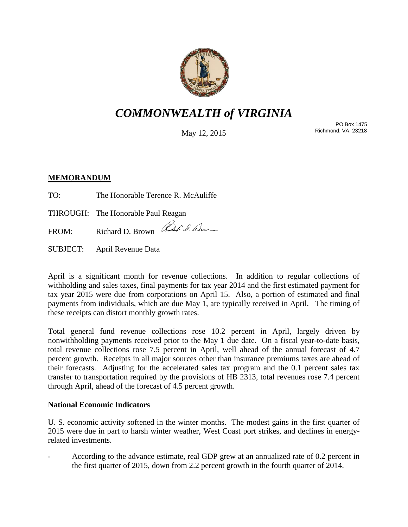

# *COMMONWEALTH of VIRGINIA*

May 12, 2015

PO Box 1475 Richmond, VA. 23218

## **MEMORANDUM**

TO: The Honorable Terence R. McAuliffe

THROUGH: The Honorable Paul Reagan

FROM: Richard D. Brown Rules & Benne

SUBJECT: April Revenue Data

April is a significant month for revenue collections. In addition to regular collections of withholding and sales taxes, final payments for tax year 2014 and the first estimated payment for tax year 2015 were due from corporations on April 15. Also, a portion of estimated and final payments from individuals, which are due May 1, are typically received in April. The timing of these receipts can distort monthly growth rates.

Total general fund revenue collections rose 10.2 percent in April, largely driven by nonwithholding payments received prior to the May 1 due date. On a fiscal year-to-date basis, total revenue collections rose 7.5 percent in April, well ahead of the annual forecast of 4.7 percent growth. Receipts in all major sources other than insurance premiums taxes are ahead of their forecasts. Adjusting for the accelerated sales tax program and the 0.1 percent sales tax transfer to transportation required by the provisions of HB 2313, total revenues rose 7.4 percent through April, ahead of the forecast of 4.5 percent growth.

## **National Economic Indicators**

U. S. economic activity softened in the winter months. The modest gains in the first quarter of 2015 were due in part to harsh winter weather, West Coast port strikes, and declines in energyrelated investments.

- According to the advance estimate, real GDP grew at an annualized rate of 0.2 percent in the first quarter of 2015, down from 2.2 percent growth in the fourth quarter of 2014.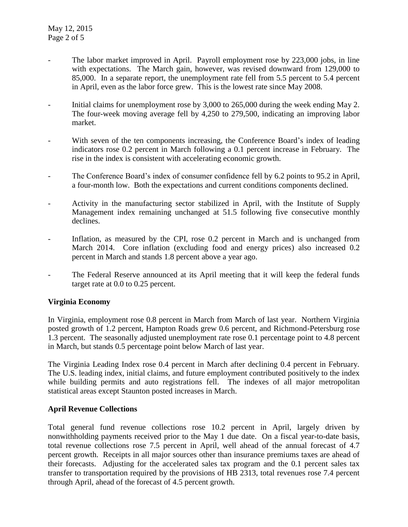- The labor market improved in April. Payroll employment rose by 223,000 jobs, in line with expectations. The March gain, however, was revised downward from 129,000 to 85,000. In a separate report, the unemployment rate fell from 5.5 percent to 5.4 percent in April, even as the labor force grew. This is the lowest rate since May 2008.
- Initial claims for unemployment rose by 3,000 to 265,000 during the week ending May 2. The four-week moving average fell by 4,250 to 279,500, indicating an improving labor market.
- With seven of the ten components increasing, the Conference Board's index of leading indicators rose 0.2 percent in March following a 0.1 percent increase in February. The rise in the index is consistent with accelerating economic growth.
- The Conference Board's index of consumer confidence fell by 6.2 points to 95.2 in April, a four-month low. Both the expectations and current conditions components declined.
- Activity in the manufacturing sector stabilized in April, with the Institute of Supply Management index remaining unchanged at 51.5 following five consecutive monthly declines.
- Inflation, as measured by the CPI, rose 0.2 percent in March and is unchanged from March 2014. Core inflation (excluding food and energy prices) also increased 0.2 percent in March and stands 1.8 percent above a year ago.
- The Federal Reserve announced at its April meeting that it will keep the federal funds target rate at 0.0 to 0.25 percent.

## **Virginia Economy**

In Virginia, employment rose 0.8 percent in March from March of last year. Northern Virginia posted growth of 1.2 percent, Hampton Roads grew 0.6 percent, and Richmond-Petersburg rose 1.3 percent. The seasonally adjusted unemployment rate rose 0.1 percentage point to 4.8 percent in March, but stands 0.5 percentage point below March of last year.

The Virginia Leading Index rose 0.4 percent in March after declining 0.4 percent in February. The U.S. leading index, initial claims, and future employment contributed positively to the index while building permits and auto registrations fell. The indexes of all major metropolitan statistical areas except Staunton posted increases in March.

#### **April Revenue Collections**

Total general fund revenue collections rose 10.2 percent in April, largely driven by nonwithholding payments received prior to the May 1 due date. On a fiscal year-to-date basis, total revenue collections rose 7.5 percent in April, well ahead of the annual forecast of 4.7 percent growth. Receipts in all major sources other than insurance premiums taxes are ahead of their forecasts. Adjusting for the accelerated sales tax program and the 0.1 percent sales tax transfer to transportation required by the provisions of HB 2313, total revenues rose 7.4 percent through April, ahead of the forecast of 4.5 percent growth.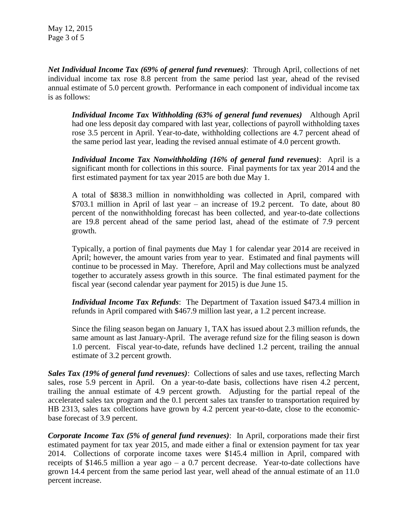*Net Individual Income Tax (69% of general fund revenues)*: Through April, collections of net individual income tax rose 8.8 percent from the same period last year, ahead of the revised annual estimate of 5.0 percent growth. Performance in each component of individual income tax is as follows:

*Individual Income Tax Withholding (63% of general fund revenues)* Although April had one less deposit day compared with last year, collections of payroll withholding taxes rose 3.5 percent in April. Year-to-date, withholding collections are 4.7 percent ahead of the same period last year, leading the revised annual estimate of 4.0 percent growth.

*Individual Income Tax Nonwithholding (16% of general fund revenues)*: April is a significant month for collections in this source. Final payments for tax year 2014 and the first estimated payment for tax year 2015 are both due May 1.

A total of \$838.3 million in nonwithholding was collected in April, compared with \$703.1 million in April of last year – an increase of 19.2 percent. To date, about 80 percent of the nonwithholding forecast has been collected, and year-to-date collections are 19.8 percent ahead of the same period last, ahead of the estimate of 7.9 percent growth.

Typically, a portion of final payments due May 1 for calendar year 2014 are received in April; however, the amount varies from year to year. Estimated and final payments will continue to be processed in May. Therefore, April and May collections must be analyzed together to accurately assess growth in this source. The final estimated payment for the fiscal year (second calendar year payment for 2015) is due June 15.

*Individual Income Tax Refunds*: The Department of Taxation issued \$473.4 million in refunds in April compared with \$467.9 million last year, a 1.2 percent increase.

Since the filing season began on January 1, TAX has issued about 2.3 million refunds, the same amount as last January-April. The average refund size for the filing season is down 1.0 percent. Fiscal year-to-date, refunds have declined 1.2 percent, trailing the annual estimate of 3.2 percent growth.

*Sales Tax (19% of general fund revenues)*: Collections of sales and use taxes, reflecting March sales, rose 5.9 percent in April. On a year-to-date basis, collections have risen 4.2 percent, trailing the annual estimate of 4.9 percent growth. Adjusting for the partial repeal of the accelerated sales tax program and the 0.1 percent sales tax transfer to transportation required by HB 2313, sales tax collections have grown by 4.2 percent year-to-date, close to the economicbase forecast of 3.9 percent.

*Corporate Income Tax (5% of general fund revenues)*: In April, corporations made their first estimated payment for tax year 2015, and made either a final or extension payment for tax year 2014. Collections of corporate income taxes were \$145.4 million in April, compared with receipts of \$146.5 million a year ago – a 0.7 percent decrease. Year-to-date collections have grown 14.4 percent from the same period last year, well ahead of the annual estimate of an 11.0 percent increase.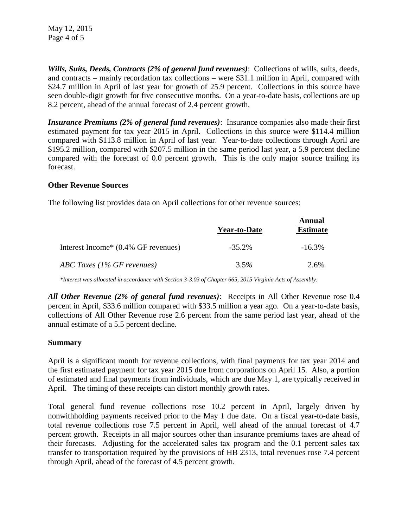May 12, 2015 Page 4 of 5

*Wills, Suits, Deeds, Contracts (2% of general fund revenues)*: Collections of wills, suits, deeds, and contracts – mainly recordation tax collections – were \$31.1 million in April, compared with \$24.7 million in April of last year for growth of 25.9 percent. Collections in this source have seen double-digit growth for five consecutive months. On a year-to-date basis, collections are up 8.2 percent, ahead of the annual forecast of 2.4 percent growth.

*Insurance Premiums (2% of general fund revenues)*: Insurance companies also made their first estimated payment for tax year 2015 in April. Collections in this source were \$114.4 million compared with \$113.8 million in April of last year. Year-to-date collections through April are \$195.2 million, compared with \$207.5 million in the same period last year, a 5.9 percent decline compared with the forecast of 0.0 percent growth. This is the only major source trailing its forecast.

#### **Other Revenue Sources**

The following list provides data on April collections for other revenue sources:

|                                     | <b>Year-to-Date</b> | <b>Annual</b><br><b>Estimate</b> |
|-------------------------------------|---------------------|----------------------------------|
| Interest Income* (0.4% GF revenues) | $-35.2\%$           | $-16.3\%$                        |
| ABC Taxes (1% GF revenues)          | $3.5\%$             | 2.6%                             |

*\*Interest was allocated in accordance with Section 3-3.03 of Chapter 665, 2015 Virginia Acts of Assembly.*

*All Other Revenue (2% of general fund revenues)*: Receipts in All Other Revenue rose 0.4 percent in April, \$33.6 million compared with \$33.5 million a year ago. On a year-to-date basis, collections of All Other Revenue rose 2.6 percent from the same period last year, ahead of the annual estimate of a 5.5 percent decline.

#### **Summary**

April is a significant month for revenue collections, with final payments for tax year 2014 and the first estimated payment for tax year 2015 due from corporations on April 15. Also, a portion of estimated and final payments from individuals, which are due May 1, are typically received in April. The timing of these receipts can distort monthly growth rates.

Total general fund revenue collections rose 10.2 percent in April, largely driven by nonwithholding payments received prior to the May 1 due date. On a fiscal year-to-date basis, total revenue collections rose 7.5 percent in April, well ahead of the annual forecast of 4.7 percent growth. Receipts in all major sources other than insurance premiums taxes are ahead of their forecasts. Adjusting for the accelerated sales tax program and the 0.1 percent sales tax transfer to transportation required by the provisions of HB 2313, total revenues rose 7.4 percent through April, ahead of the forecast of 4.5 percent growth.